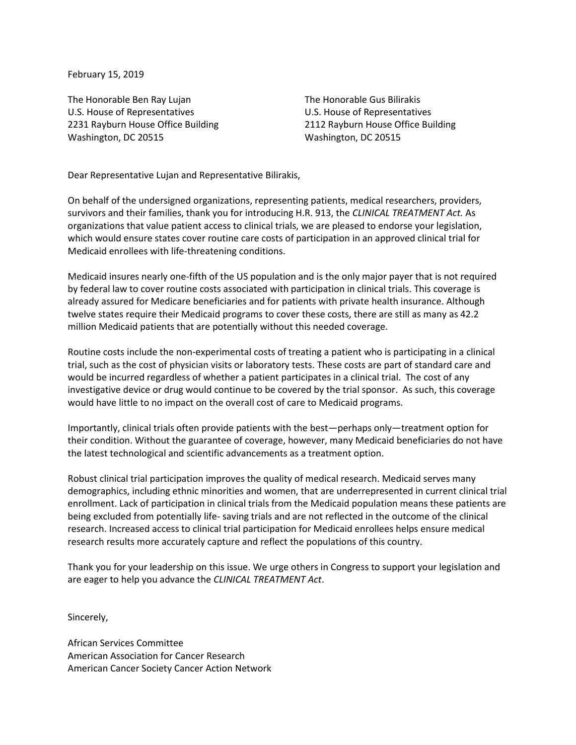February 15, 2019

The Honorable Ben Ray Lujan U.S. House of Representatives 2231 Rayburn House Office Building Washington, DC 20515

The Honorable Gus Bilirakis U.S. House of Representatives 2112 Rayburn House Office Building Washington, DC 20515

Dear Representative Lujan and Representative Bilirakis,

On behalf of the undersigned organizations, representing patients, medical researchers, providers, survivors and their families, thank you for introducing H.R. 913, the *CLINICAL TREATMENT Act.* As organizations that value patient access to clinical trials, we are pleased to endorse your legislation, which would ensure states cover routine care costs of participation in an approved clinical trial for Medicaid enrollees with life-threatening conditions.

Medicaid insures nearly one-fifth of the US population and is the only major payer that is not required by federal law to cover routine costs associated with participation in clinical trials. This coverage is already assured for Medicare beneficiaries and for patients with private health insurance. Although twelve states require their Medicaid programs to cover these costs, there are still as many as 42.2 million Medicaid patients that are potentially without this needed coverage.

Routine costs include the non-experimental costs of treating a patient who is participating in a clinical trial, such as the cost of physician visits or laboratory tests. These costs are part of standard care and would be incurred regardless of whether a patient participates in a clinical trial. The cost of any investigative device or drug would continue to be covered by the trial sponsor. As such, this coverage would have little to no impact on the overall cost of care to Medicaid programs.

Importantly, clinical trials often provide patients with the best—perhaps only—treatment option for their condition. Without the guarantee of coverage, however, many Medicaid beneficiaries do not have the latest technological and scientific advancements as a treatment option.

Robust clinical trial participation improves the quality of medical research. Medicaid serves many demographics, including ethnic minorities and women, that are underrepresented in current clinical trial enrollment. Lack of participation in clinical trials from the Medicaid population means these patients are being excluded from potentially life- saving trials and are not reflected in the outcome of the clinical research. Increased access to clinical trial participation for Medicaid enrollees helps ensure medical research results more accurately capture and reflect the populations of this country.

Thank you for your leadership on this issue. We urge others in Congress to support your legislation and are eager to help you advance the *CLINICAL TREATMENT Act*.

Sincerely,

African Services Committee American Association for Cancer Research American Cancer Society Cancer Action Network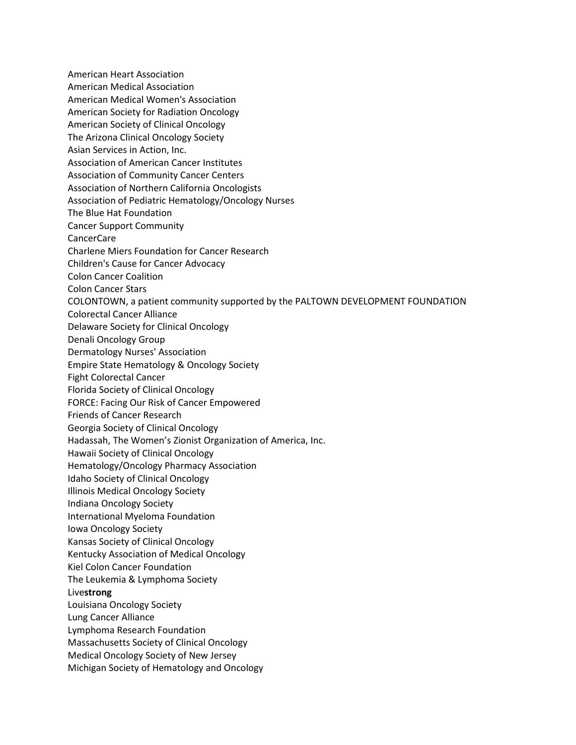American Heart Association American Medical Association American Medical Women's Association American Society for Radiation Oncology American Society of Clinical Oncology The Arizona Clinical Oncology Society Asian Services in Action, Inc. Association of American Cancer Institutes Association of Community Cancer Centers Association of Northern California Oncologists Association of Pediatric Hematology/Oncology Nurses The Blue Hat Foundation Cancer Support Community CancerCare Charlene Miers Foundation for Cancer Research Children's Cause for Cancer Advocacy Colon Cancer Coalition Colon Cancer Stars COLONTOWN, a patient community supported by the PALTOWN DEVELOPMENT FOUNDATION Colorectal Cancer Alliance Delaware Society for Clinical Oncology Denali Oncology Group Dermatology Nurses' Association Empire State Hematology & Oncology Society Fight Colorectal Cancer Florida Society of Clinical Oncology FORCE: Facing Our Risk of Cancer Empowered Friends of Cancer Research Georgia Society of Clinical Oncology Hadassah, The Women's Zionist Organization of America, Inc. Hawaii Society of Clinical Oncology Hematology/Oncology Pharmacy Association Idaho Society of Clinical Oncology Illinois Medical Oncology Society Indiana Oncology Society International Myeloma Foundation Iowa Oncology Society Kansas Society of Clinical Oncology Kentucky Association of Medical Oncology Kiel Colon Cancer Foundation The Leukemia & Lymphoma Society Live**strong** Louisiana Oncology Society Lung Cancer Alliance Lymphoma Research Foundation Massachusetts Society of Clinical Oncology Medical Oncology Society of New Jersey Michigan Society of Hematology and Oncology